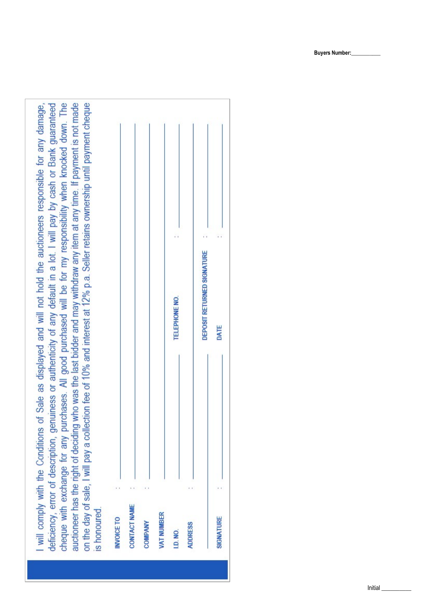cheque with exchange for any purchases. All good purchased will be for my responsibility when knocked down. The auctioneer has the right of deciding who was the last bidder and may withdraw any item at any time. If payment is not made on the day of sale, I will pay a collection fee of 10% and interest at 12% p.a. Seller retains ownership until payment cheque will comply with the Conditions of Sale as displayed and will not hold the auctioneers responsible for any damage, deficiency, error of description, genuiness or authenticity of any default in a lot. I will pay by cash or Bank guaranteed is honoured.

|                            |                |                   | TELEPHONE NO.   |                | DEPOSIT RETURNED SIGNATURE | DATE      |
|----------------------------|----------------|-------------------|-----------------|----------------|----------------------------|-----------|
|                            |                |                   |                 |                |                            |           |
| CONTACT NAME<br>INVOICE TO | <b>COMPANY</b> | <b>VAT NUMBER</b> | <b>I.D. NO.</b> | <b>ADDRESS</b> |                            | SIGNATURE |

**Buyers Number:\_\_\_\_\_\_\_\_\_\_\_**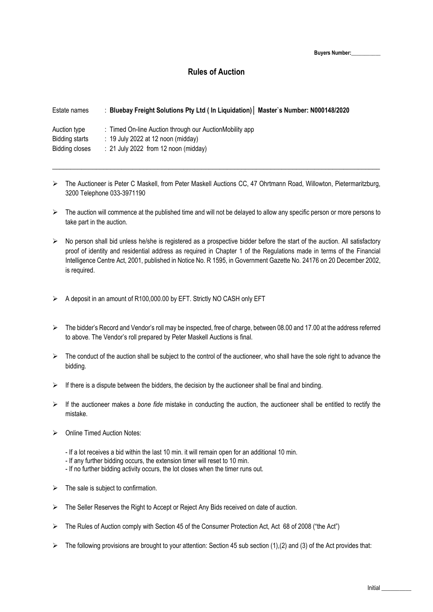**Buyers Number:\_\_\_\_\_\_\_\_\_\_\_**

# **Rules of Auction**

| Estate names                   | : Bluebay Freight Solutions Pty Ltd ( In Liquidation)   Master's Number: N000148/2020           |
|--------------------------------|-------------------------------------------------------------------------------------------------|
| Auction type<br>Bidding starts | : Timed On-line Auction through our AuctionMobility app<br>$: 19$ July 2022 at 12 noon (midday) |
| Bidding closes                 | $: 21$ July 2022 from 12 noon (midday)                                                          |

 $\triangleright$  The Auctioneer is Peter C Maskell, from Peter Maskell Auctions CC, 47 Ohrtmann Road, Willowton, Pietermaritzburg, 3200 Telephone 033-3971190

 $\_$  , and the set of the set of the set of the set of the set of the set of the set of the set of the set of the set of the set of the set of the set of the set of the set of the set of the set of the set of the set of th

- $\triangleright$  The auction will commence at the published time and will not be delayed to allow any specific person or more persons to take part in the auction.
- $\triangleright$  No person shall bid unless he/she is registered as a prospective bidder before the start of the auction. All satisfactory proof of identity and residential address as required in Chapter 1 of the Regulations made in terms of the Financial Intelligence Centre Act, 2001, published in Notice No. R 1595, in Government Gazette No. 24176 on 20 December 2002, is required.
- $\triangleright$  A deposit in an amount of R100,000.00 by EFT. Strictly NO CASH only EFT
- $\triangleright$  The bidder's Record and Vendor's roll may be inspected, free of charge, between 08.00 and 17.00 at the address referred to above. The Vendor's roll prepared by Peter Maskell Auctions is final.
- $\triangleright$  The conduct of the auction shall be subject to the control of the auctioneer, who shall have the sole right to advance the bidding.
- $\triangleright$  If there is a dispute between the bidders, the decision by the auctioneer shall be final and binding.
- If the auctioneer makes a *bone fide* mistake in conducting the auction, the auctioneer shall be entitled to rectify the mistake.
- $\triangleright$  Online Timed Auction Notes:
	- If a lot receives a bid within the last 10 min. it will remain open for an additional 10 min.
	- If any further bidding occurs, the extension timer will reset to 10 min.
	- If no further bidding activity occurs, the lot closes when the timer runs out.
- $\triangleright$  The sale is subject to confirmation.
- $\triangleright$  The Seller Reserves the Right to Accept or Reject Any Bids received on date of auction.
- $\triangleright$  The Rules of Auction comply with Section 45 of the Consumer Protection Act, Act 68 of 2008 ("the Act")
- $\triangleright$  The following provisions are brought to your attention: Section 45 sub section (1),(2) and (3) of the Act provides that: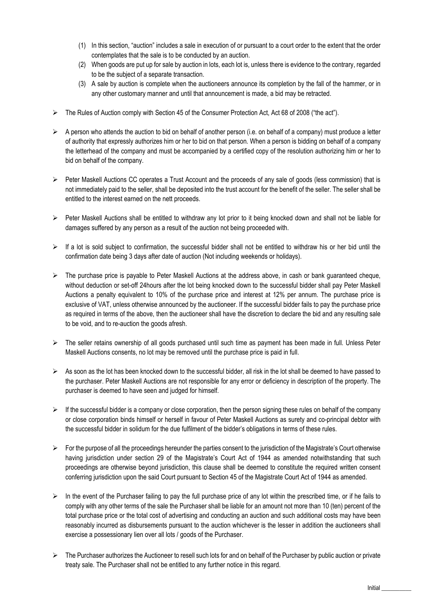- (1) In this section, "auction" includes a sale in execution of or pursuant to a court order to the extent that the order contemplates that the sale is to be conducted by an auction.
- (2) When goods are put up for sale by auction in lots, each lot is, unless there is evidence to the contrary, regarded to be the subject of a separate transaction.
- (3) A sale by auction is complete when the auctioneers announce its completion by the fall of the hammer, or in any other customary manner and until that announcement is made, a bid may be retracted.
- $\triangleright$  The Rules of Auction comply with Section 45 of the Consumer Protection Act, Act 68 of 2008 ("the act").
- $\triangleright$  A person who attends the auction to bid on behalf of another person (i.e. on behalf of a company) must produce a letter of authority that expressly authorizes him or her to bid on that person. When a person is bidding on behalf of a company the letterhead of the company and must be accompanied by a certified copy of the resolution authorizing him or her to bid on behalf of the company.
- $\triangleright$  Peter Maskell Auctions CC operates a Trust Account and the proceeds of any sale of goods (less commission) that is not immediately paid to the seller, shall be deposited into the trust account for the benefit of the seller. The seller shall be entitled to the interest earned on the nett proceeds.
- $\triangleright$  Peter Maskell Auctions shall be entitled to withdraw any lot prior to it being knocked down and shall not be liable for damages suffered by any person as a result of the auction not being proceeded with.
- $\triangleright$  If a lot is sold subject to confirmation, the successful bidder shall not be entitled to withdraw his or her bid until the confirmation date being 3 days after date of auction (Not including weekends or holidays).
- $\triangleright$  The purchase price is payable to Peter Maskell Auctions at the address above, in cash or bank guaranteed cheque, without deduction or set-off 24hours after the lot being knocked down to the successful bidder shall pay Peter Maskell Auctions a penalty equivalent to 10% of the purchase price and interest at 12% per annum. The purchase price is exclusive of VAT, unless otherwise announced by the auctioneer. If the successful bidder fails to pay the purchase price as required in terms of the above, then the auctioneer shall have the discretion to declare the bid and any resulting sale to be void, and to re-auction the goods afresh.
- > The seller retains ownership of all goods purchased until such time as payment has been made in full. Unless Peter Maskell Auctions consents, no lot may be removed until the purchase price is paid in full.
- $\triangleright$  As soon as the lot has been knocked down to the successful bidder, all risk in the lot shall be deemed to have passed to the purchaser. Peter Maskell Auctions are not responsible for any error or deficiency in description of the property. The purchaser is deemed to have seen and judged for himself.
- $\triangleright$  If the successful bidder is a company or close corporation, then the person signing these rules on behalf of the company or close corporation binds himself or herself in favour of Peter Maskell Auctions as surety and co-principal debtor with the successful bidder in solidum for the due fulfilment of the bidder's obligations in terms of these rules.
- $\triangleright$  For the purpose of all the proceedings hereunder the parties consent to the jurisdiction of the Magistrate's Court otherwise having jurisdiction under section 29 of the Magistrate's Court Act of 1944 as amended notwithstanding that such proceedings are otherwise beyond jurisdiction, this clause shall be deemed to constitute the required written consent conferring jurisdiction upon the said Court pursuant to Section 45 of the Magistrate Court Act of 1944 as amended.
- $\triangleright$  In the event of the Purchaser failing to pay the full purchase price of any lot within the prescribed time, or if he fails to comply with any other terms of the sale the Purchaser shall be liable for an amount not more than 10 (ten) percent of the total purchase price or the total cost of advertising and conducting an auction and such additional costs may have been reasonably incurred as disbursements pursuant to the auction whichever is the lesser in addition the auctioneers shall exercise a possessionary lien over all lots / goods of the Purchaser.
- $\triangleright$  The Purchaser authorizes the Auctioneer to resell such lots for and on behalf of the Purchaser by public auction or private treaty sale. The Purchaser shall not be entitled to any further notice in this regard.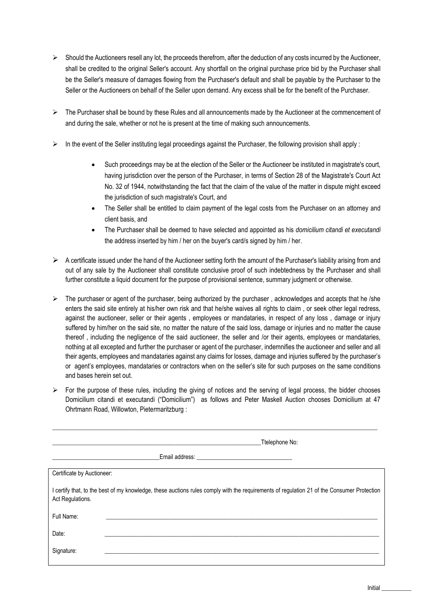- $\triangleright$  Should the Auctioneers resell any lot, the proceeds therefrom, after the deduction of any costs incurred by the Auctioneer, shall be credited to the original Seller's account. Any shortfall on the original purchase price bid by the Purchaser shall be the Seller's measure of damages flowing from the Purchaser's default and shall be payable by the Purchaser to the Seller or the Auctioneers on behalf of the Seller upon demand. Any excess shall be for the benefit of the Purchaser.
- $\triangleright$  The Purchaser shall be bound by these Rules and all announcements made by the Auctioneer at the commencement of and during the sale, whether or not he is present at the time of making such announcements.
- $\triangleright$  In the event of the Seller instituting legal proceedings against the Purchaser, the following provision shall apply :
	- Such proceedings may be at the election of the Seller or the Auctioneer be instituted in magistrate's court, having jurisdiction over the person of the Purchaser, in terms of Section 28 of the Magistrate's Court Act No. 32 of 1944, notwithstanding the fact that the claim of the value of the matter in dispute might exceed the jurisdiction of such magistrate's Court, and
	- The Seller shall be entitled to claim payment of the legal costs from the Purchaser on an attorney and client basis, and
	- The Purchaser shall be deemed to have selected and appointed as his *domicilium citandi et executandi* the address inserted by him / her on the buyer's card/s signed by him / her.
- $\triangleright$  A certificate issued under the hand of the Auctioneer setting forth the amount of the Purchaser's liability arising from and out of any sale by the Auctioneer shall constitute conclusive proof of such indebtedness by the Purchaser and shall further constitute a liquid document for the purpose of provisional sentence, summary judgment or otherwise.
- $\triangleright$  The purchaser or agent of the purchaser, being authorized by the purchaser, acknowledges and accepts that he /she enters the said site entirely at his/her own risk and that he/she waives all rights to claim , or seek other legal redress, against the auctioneer, seller or their agents , employees or mandataries, in respect of any loss , damage or injury suffered by him/her on the said site, no matter the nature of the said loss, damage or injuries and no matter the cause thereof , including the negligence of the said auctioneer, the seller and /or their agents, employees or mandataries, nothing at all excepted and further the purchaser or agent of the purchaser, indemnifies the auctioneer and seller and all their agents, employees and mandataries against any claims for losses, damage and injuries suffered by the purchaser's or agent's employees, mandataries or contractors when on the seller's site for such purposes on the same conditions and bases herein set out.
- $\triangleright$  For the purpose of these rules, including the giving of notices and the serving of legal process, the bidder chooses Domicilium citandi et executandi ("Domicilium") as follows and Peter Maskell Auction chooses Domicilium at 47 Ohrtmann Road, Willowton, Pietermaritzburg :

|                            | Ttelephone No:                                                                                                                             |
|----------------------------|--------------------------------------------------------------------------------------------------------------------------------------------|
|                            |                                                                                                                                            |
| Certificate by Auctioneer: |                                                                                                                                            |
| Act Regulations.           | I certify that, to the best of my knowledge, these auctions rules comply with the requirements of regulation 21 of the Consumer Protection |
| Full Name:                 |                                                                                                                                            |
| Date:                      |                                                                                                                                            |
| Signature:                 |                                                                                                                                            |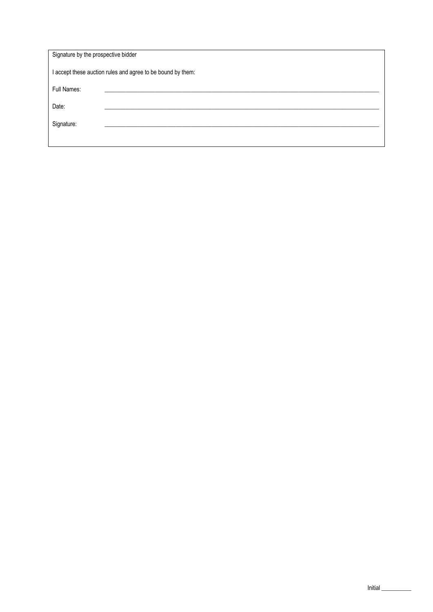| Signature by the prospective bidder                         |  |  |  |  |
|-------------------------------------------------------------|--|--|--|--|
| I accept these auction rules and agree to be bound by them: |  |  |  |  |
| Full Names:                                                 |  |  |  |  |
| Date:                                                       |  |  |  |  |
| Signature:                                                  |  |  |  |  |
|                                                             |  |  |  |  |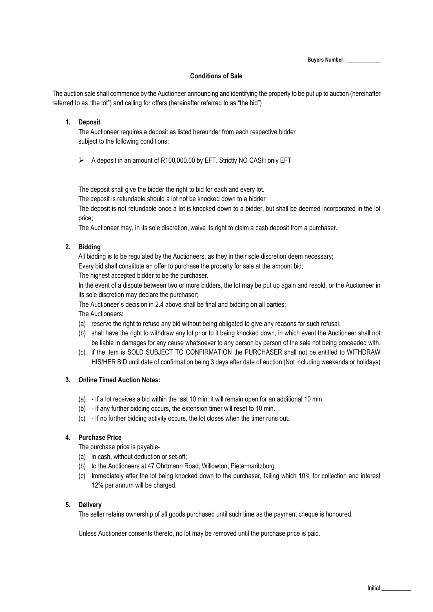**Buyers Number: \_\_\_\_\_\_\_\_\_\_\_\_\_**

### **Conditions of Sale**

The auction sale shall commence by the Auctioneer announcing and identifying the property to be put up to auction (hereinafter referred to as "the lot") and calling for offers (hereinafter referred to as "the bid")

### **1. Deposit**

The Auctioneer requires a deposit as listed hereunder from each respective bidder subject to the following conditions:

 $\triangleright$  A deposit in an amount of R100,000.00 by EFT. Strictly NO CASH only EFT

The deposit shall give the bidder the right to bid for each and every lot.

The deposit is refundable should a lot not be knocked down to a bidder

The deposit is not refundable once a lot is knocked down to a bidder, but shall be deemed incorporated in the lot price;

The Auctioneer may, in its sole discretion, waive its right to claim a cash deposit from a purchaser.

### **2. Bidding**

All bidding is to be regulated by the Auctioneers, as they in their sole discretion deem necessary;

Every bid shall constitute an offer to purchase the property for sale at the amount bid;

The highest accepted bidder to be the purchaser.

In the event of a dispute between two or more bidders, the lot may be put up again and resold, or the Auctioneer in its sole discretion may declare the purchaser;

The Auctioneer`s decision in 2.4 above shall be final and bidding on all parties;

The Auctioneers:

- (a) reserve the right to refuse any bid without being obligated to give any reasons for such refusal.
- (b) shall have the right to withdraw any lot prior to it being knocked down, in which event the Auctioneer shall not be liable in damages for any cause whatsoever to any person by person of the sale not being proceeded with.
- (c) if the item is SOLD SUBJECT TO CONFIRMATION the PURCHASER shall not be entitled to WITHDRAW HIS/HER BID until date of confirmation being 3 days after date of auction (Not including weekends or holidays)

### **3. Online Timed Auction Notes:**

- (a) If a lot receives a bid within the last 10 min. it will remain open for an additional 10 min.
- (b) If any further bidding occurs, the extension timer will reset to 10 min.
- (c) If no further bidding activity occurs, the lot closes when the timer runs out.

#### **4. Purchase Price**

The purchase price is payable-

- (a) in cash, without deduction or set-off;
- (b) to the Auctioneers at 47 Ohrtmann Road, Willowton, Pietermaritzburg.
- (c) Immediately after the lot being knocked down to the purchaser, failing which 10% for collection and interest 12% per annum will be charged.

#### **5. Delivery**

The seller retains ownership of all goods purchased until such time as the payment cheque is honoured.

Unless Auctioneer consents thereto, no lot may be removed until the purchase price is paid.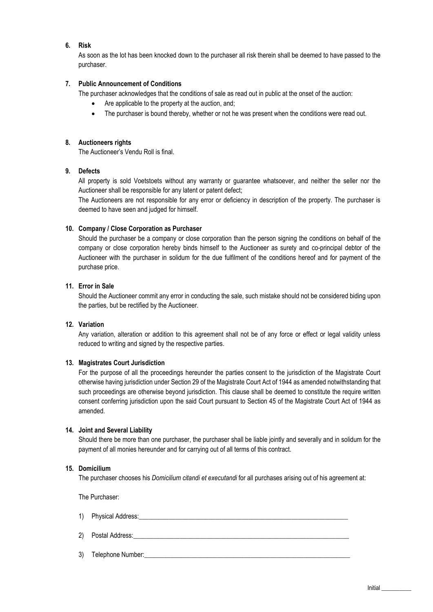### **6. Risk**

As soon as the lot has been knocked down to the purchaser all risk therein shall be deemed to have passed to the purchaser.

### **7. Public Announcement of Conditions**

The purchaser acknowledges that the conditions of sale as read out in public at the onset of the auction:

- Are applicable to the property at the auction, and;
- The purchaser is bound thereby, whether or not he was present when the conditions were read out.

#### **8. Auctioneers rights**

The Auctioneer's Vendu Roll is final.

## **9. Defects**

All property is sold Voetstoets without any warranty or guarantee whatsoever, and neither the seller nor the Auctioneer shall be responsible for any latent or patent defect;

The Auctioneers are not responsible for any error or deficiency in description of the property. The purchaser is deemed to have seen and judged for himself.

#### **10. Company / Close Corporation as Purchaser**

Should the purchaser be a company or close corporation than the person signing the conditions on behalf of the company or close corporation hereby binds himself to the Auctioneer as surety and co-principal debtor of the Auctioneer with the purchaser in solidum for the due fulfilment of the conditions hereof and for payment of the purchase price.

### **11. Error in Sale**

Should the Auctioneer commit any error in conducting the sale, such mistake should not be considered biding upon the parties, but be rectified by the Auctioneer.

#### **12. Variation**

Any variation, alteration or addition to this agreement shall not be of any force or effect or legal validity unless reduced to writing and signed by the respective parties.

#### **13. Magistrates Court Jurisdiction**

For the purpose of all the proceedings hereunder the parties consent to the jurisdiction of the Magistrate Court otherwise having jurisdiction under Section 29 of the Magistrate Court Act of 1944 as amended notwithstanding that such proceedings are otherwise beyond jurisdiction. This clause shall be deemed to constitute the require written consent conferring jurisdiction upon the said Court pursuant to Section 45 of the Magistrate Court Act of 1944 as amended.

#### **14. Joint and Several Liability**

Should there be more than one purchaser, the purchaser shall be liable jointly and severally and in solidum for the payment of all monies hereunder and for carrying out of all terms of this contract.

#### **15. Domicilium**

The purchaser chooses his *Domicilium citandi et executandi* for all purchases arising out of his agreement at:

The Purchaser:

- 1) Physical Address:  $\blacksquare$
- 2) Postal Address:
- 3) Telephone Number: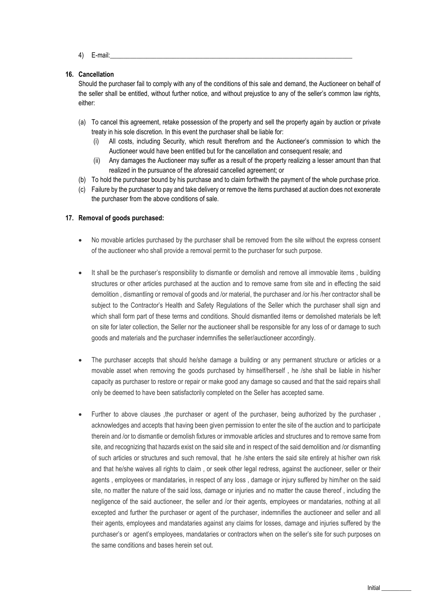4) E-mail:\_\_\_\_\_\_\_\_\_\_\_\_\_\_\_\_\_\_\_\_\_\_\_\_\_\_\_\_\_\_\_\_\_\_\_\_\_\_\_\_\_\_\_\_\_\_\_\_\_\_\_\_\_\_\_\_\_\_\_\_\_\_\_\_\_\_\_\_\_\_\_\_\_

### **16. Cancellation**

Should the purchaser fail to comply with any of the conditions of this sale and demand, the Auctioneer on behalf of the seller shall be entitled, without further notice, and without prejustice to any of the seller's common law rights, either:

- (a) To cancel this agreement, retake possession of the property and sell the property again by auction or private treaty in his sole discretion. In this event the purchaser shall be liable for:
	- (i) All costs, including Security, which result therefrom and the Auctioneer's commission to which the Auctioneer would have been entitled but for the cancellation and consequent resale; and
	- (ii) Any damages the Auctioneer may suffer as a result of the property realizing a lesser amount than that realized in the pursuance of the aforesaid cancelled agreement; or
- (b) To hold the purchaser bound by his purchase and to claim forthwith the payment of the whole purchase price.
- (c) Failure by the purchaser to pay and take delivery or remove the items purchased at auction does not exonerate the purchaser from the above conditions of sale.

### **17. Removal of goods purchased:**

- No movable articles purchased by the purchaser shall be removed from the site without the express consent of the auctioneer who shall provide a removal permit to the purchaser for such purpose.
- It shall be the purchaser's responsibility to dismantle or demolish and remove all immovable items, building structures or other articles purchased at the auction and to remove same from site and in effecting the said demolition , dismantling or removal of goods and /or material, the purchaser and /or his /her contractor shall be subject to the Contractor's Health and Safety Regulations of the Seller which the purchaser shall sign and which shall form part of these terms and conditions. Should dismantled items or demolished materials be left on site for later collection, the Seller nor the auctioneer shall be responsible for any loss of or damage to such goods and materials and the purchaser indemnifies the seller/auctioneer accordingly.
- The purchaser accepts that should he/she damage a building or any permanent structure or articles or a movable asset when removing the goods purchased by himself/herself , he /she shall be liable in his/her capacity as purchaser to restore or repair or make good any damage so caused and that the said repairs shall only be deemed to have been satisfactorily completed on the Seller has accepted same.
- Further to above clauses ,the purchaser or agent of the purchaser, being authorized by the purchaser , acknowledges and accepts that having been given permission to enter the site of the auction and to participate therein and /or to dismantle or demolish fixtures or immovable articles and structures and to remove same from site, and recognizing that hazards exist on the said site and in respect of the said demolition and /or dismantling of such articles or structures and such removal, that he /she enters the said site entirely at his/her own risk and that he/she waives all rights to claim , or seek other legal redress, against the auctioneer, seller or their agents , employees or mandataries, in respect of any loss , damage or injury suffered by him/her on the said site, no matter the nature of the said loss, damage or injuries and no matter the cause thereof , including the negligence of the said auctioneer, the seller and /or their agents, employees or mandataries, nothing at all excepted and further the purchaser or agent of the purchaser, indemnifies the auctioneer and seller and all their agents, employees and mandataries against any claims for losses, damage and injuries suffered by the purchaser's or agent's employees, mandataries or contractors when on the seller's site for such purposes on the same conditions and bases herein set out.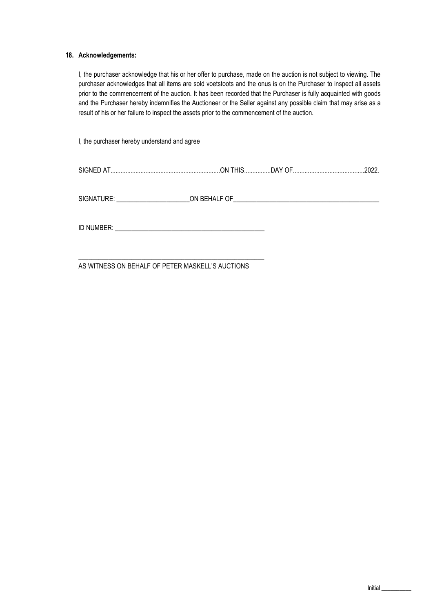### **18. Acknowledgements:**

I, the purchaser acknowledge that his or her offer to purchase, made on the auction is not subject to viewing. The purchaser acknowledges that all items are sold voetstoots and the onus is on the Purchaser to inspect all assets prior to the commencement of the auction. It has been recorded that the Purchaser is fully acquainted with goods and the Purchaser hereby indemnifies the Auctioneer or the Seller against any possible claim that may arise as a result of his or her failure to inspect the assets prior to the commencement of the auction.

I, the purchaser hereby understand and agree

| <b>SIGNI</b> | יחר          |
|--------------|--------------|
| 'NN          | $\mathbf{v}$ |
| . 1.717      | wzz          |
|              |              |

SIGNATURE: \_\_\_\_\_\_\_\_\_\_\_\_\_\_\_\_\_\_\_\_\_\_ON BEHALF OF\_\_\_\_\_\_\_\_\_\_\_\_\_\_\_\_\_\_\_\_\_\_\_\_\_\_\_\_\_\_\_\_\_\_\_\_\_\_\_\_\_\_\_\_

ID NUMBER:  $\blacksquare$ 

\_\_\_\_\_\_\_\_\_\_\_\_\_\_\_\_\_\_\_\_\_\_\_\_\_\_\_\_\_\_\_\_\_\_\_\_\_\_\_\_\_\_\_\_\_\_\_\_\_\_\_\_\_\_\_\_

AS WITNESS ON BEHALF OF PETER MASKELL'S AUCTIONS